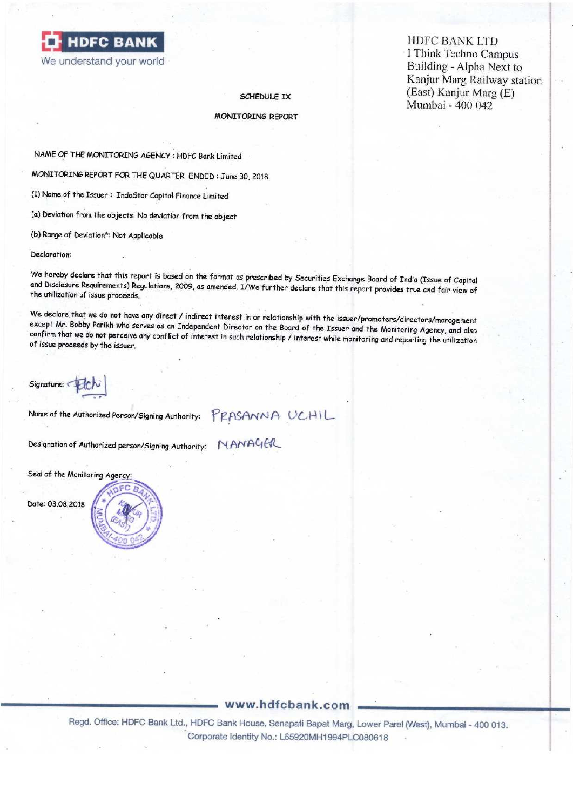**HDFC BANK LTD<br>
I Think Techno Campus** 

## MONITORING REPORT

NAME OF THE MONITORING AGENCY : HDFC Bank Limited

MONITORING REPORT FOR THE QUARTER ENDED : June 30, 2018

(1) Name of the Issuer : Indosrar Capital Finance Limited

(a) Deviation from the objects: No deviation from the object

(b) Range of Deviation\*: Not Applicable

Declaration:

We hereby declare that this report is based on the format as prescribed by Securities Exchange Board of India (Issue of Capital<br>and Disclosure Requirements) Regulations, 2009, as amended. I/We further declare that this rep

We declare that we do not have any direct / indirect interest in or relationship with the issuer/promoters/directors/management except Mr. Bobby Parikh who serves as an Independent Director on the Board of the Issuer and t

Signature:

Name of the Authorized Person/Signing Authority: PRASANNA UCHIL

Designation of Authorized person/Signing Authority: NANACLA

Seal of the Monitoring Agency:

Date: 03.08.2018

# www.hdfcbank.com

Name of the Authorized Person/Signing Authority:<br>Designation of Authorized person/Signing Authority:<br>Seal of the Monitoring Agency:<br>Date: 03.08.2018<br>Date: 03.08.2018<br>Begal. Office: HDFC Bank Ltd., HDFC<br>Corpora Regd. Office: HDFC Bank Ltd., HDFC Bank House, Senapati Bapat Marg, Lower Parel (West), Mumbai - 400 013. \*' Corporate Identity No.: L65920MH1994PLC080618

I Think Techno Campus<br>We understand your world Building - Alpha Next to Building - Alpha Next to Kanjur Marg Railway station SCHEDULE IX (East) Kanjur Marg (E) Mumbai - 400 042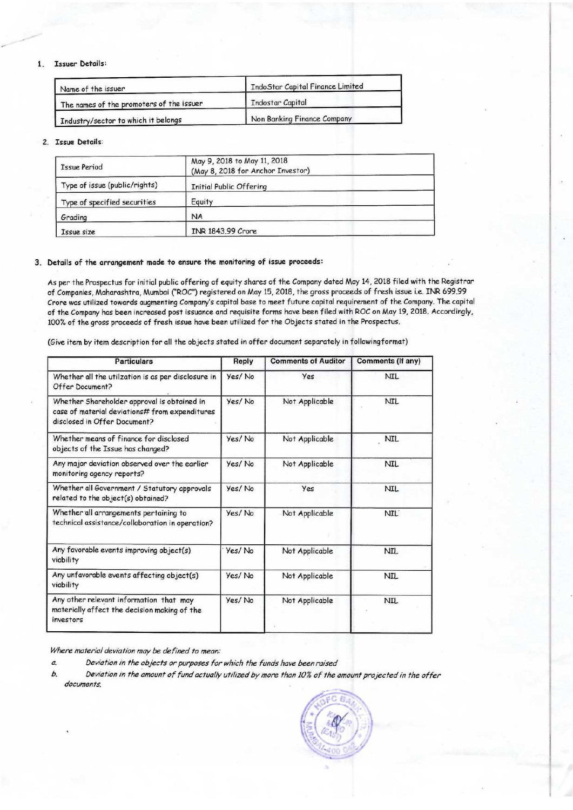## 1. Issuer Details:

| Name of the issuer                       | IndoStar Capital Finance Limited |  |  |  |
|------------------------------------------|----------------------------------|--|--|--|
| The names of the promoters of the issuer | <b>I</b> Indostar Capital        |  |  |  |
| Industry/sector to which it belongs      | Non Banking Finance Company      |  |  |  |

## 2. Issue Details:

| <b>Issue Period</b>           | May 9, 2018 to May 11, 2018<br>(May 8, 2018 for Anchor Investor) |  |  |  |  |
|-------------------------------|------------------------------------------------------------------|--|--|--|--|
| Type of issue (public/rights) | <b>Initial Public Offering</b>                                   |  |  |  |  |
| Type of specified securities  | Equity                                                           |  |  |  |  |
| Grading                       | <b>NA</b>                                                        |  |  |  |  |
| Issue size                    | INR 1843.99 Crore                                                |  |  |  |  |

#### 3, Details of the arrangement made to ensure the monitoring of issue proceeds:

As per the Prospectus for initial public offering of equity shares of the Company dated May 14, 2018 filed with the Registrar of Companies, Maharashtra, Mumbai ("ROC") registered on May 15, 2018, the gross proceeds of fresh issue i.e. INR 699.99 Crore was utilized towards augmenting Company's capital base to meet future capital requirement of the Company. The capital of the Company has been increased post issuance and requisite forms have been filed with ROC on May 19, 2018. Accordingly, 1007. of the gross proceeds of fresh issue have been utilized for the Objects stated in the Prospectus,

(Give item by item description for all the objects stated in offer document separately in followingformat)

| <b>Particulars</b>                                                                                                            | Reply  | <b>Comments of Auditor</b> | Comments (If any) |
|-------------------------------------------------------------------------------------------------------------------------------|--------|----------------------------|-------------------|
| Whether all the utilzation is as per disclosure in<br>Offer Document?                                                         | Yes/No | Yes                        | <b>NIL</b>        |
| Whether Shareholder approval is obtained in<br>case of material deviations# from expenditures<br>disclosed in Offer Document? | Yes/No | Not Applicable             | <b>NIL</b>        |
| Whether means of finance for disclosed<br>objects of the Issue has changed?                                                   | Yes/No | Not Applicable             | <b>NIL</b>        |
| Any major deviation observed over the earlier<br>monitoring agency reports?                                                   | Yes/No | Not Applicable             | NIL               |
| Whether all Government / Statutory approvals<br>related to the object(s) obtained?                                            | Yes/No | Yes                        | <b>NIL</b>        |
| Whether all arrangements pertaining to<br>technical assistance/collaboration in operation?                                    | Yes/No | Not Applicable             | <b>NIL</b>        |
| Any favorable events improving object(s)<br>viability                                                                         | Yes/No | Not Applicable             | <b>NIL</b>        |
| Any unfavorable events affecting object(s)<br>viability                                                                       | Yes/No | Not Applicable             | NIL               |
| Any other relevant information that may<br>materially affect the decision making of the<br>investors                          | Yes/No | Not Applicable             | <b>NIL</b>        |

## Where material deviation may be defined to mean:

- a. Deviation in the objects or purposes for which the funds have been raised
- b. Deviation in the amount of fund actually utilized by more than 10% of the amount projected in the offer documents,